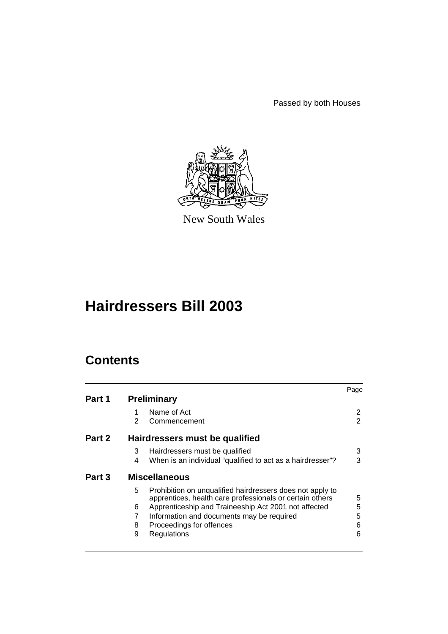Passed by both Houses



New South Wales

# **Hairdressers Bill 2003**

# **Contents**

|        |                                                                                                                            | Page |
|--------|----------------------------------------------------------------------------------------------------------------------------|------|
| Part 1 | <b>Preliminary</b>                                                                                                         |      |
|        | Name of Act<br>1                                                                                                           | 2    |
|        | 2<br>Commencement                                                                                                          | 2    |
| Part 2 | Hairdressers must be qualified                                                                                             |      |
|        | 3<br>Hairdressers must be qualified                                                                                        | 3    |
|        | When is an individual "qualified to act as a hairdresser"?<br>4                                                            | 3    |
| Part 3 | <b>Miscellaneous</b>                                                                                                       |      |
|        | 5<br>Prohibition on unqualified hairdressers does not apply to<br>apprentices, health care professionals or certain others | 5    |
|        | Apprenticeship and Traineeship Act 2001 not affected<br>6                                                                  | 5    |
|        | 7<br>Information and documents may be required                                                                             | 5    |
|        | 8<br>Proceedings for offences                                                                                              | 6    |
|        | Regulations<br>9                                                                                                           | 6    |
|        |                                                                                                                            |      |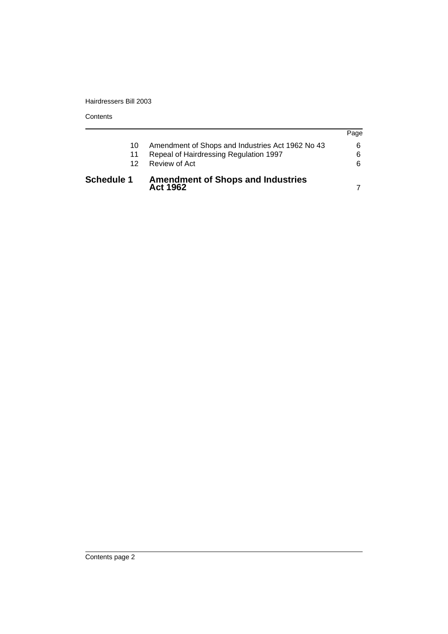Hairdressers Bill 2003

**Contents** 

| <b>Schedule 1</b> | <b>Amendment of Shops and Industries</b><br>Act 1962 |      |
|-------------------|------------------------------------------------------|------|
| 12.               | Review of Act                                        | 6    |
| 11                | Repeal of Hairdressing Regulation 1997               | 6    |
| 10.               | Amendment of Shops and Industries Act 1962 No 43     | 6    |
|                   |                                                      | Page |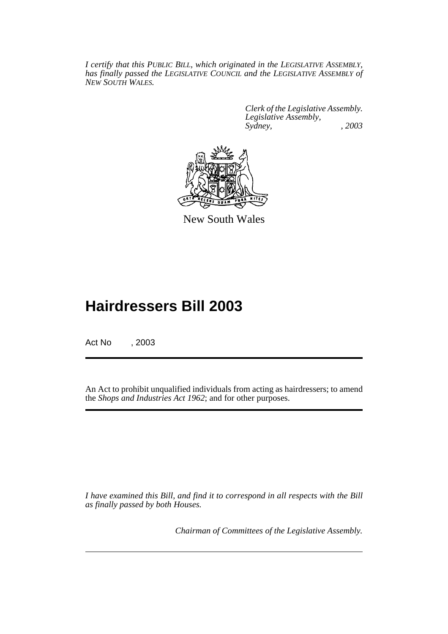*I certify that this PUBLIC BILL, which originated in the LEGISLATIVE ASSEMBLY, has finally passed the LEGISLATIVE COUNCIL and the LEGISLATIVE ASSEMBLY of NEW SOUTH WALES.*

> *Clerk of the Legislative Assembly. Legislative Assembly, Sydney, , 2003*



New South Wales

# **Hairdressers Bill 2003**

Act No , 2003

An Act to prohibit unqualified individuals from acting as hairdressers; to amend the *Shops and Industries Act 1962*; and for other purposes.

*I have examined this Bill, and find it to correspond in all respects with the Bill as finally passed by both Houses.*

*Chairman of Committees of the Legislative Assembly.*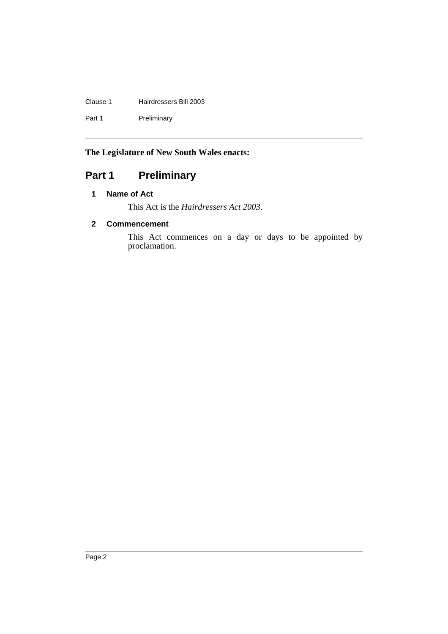### Clause 1 Hairdressers Bill 2003

Part 1 Preliminary

## **The Legislature of New South Wales enacts:**

## Part 1 **Preliminary**

## **1 Name of Act**

This Act is the *Hairdressers Act 2003*.

### **2 Commencement**

This Act commences on a day or days to be appointed by proclamation.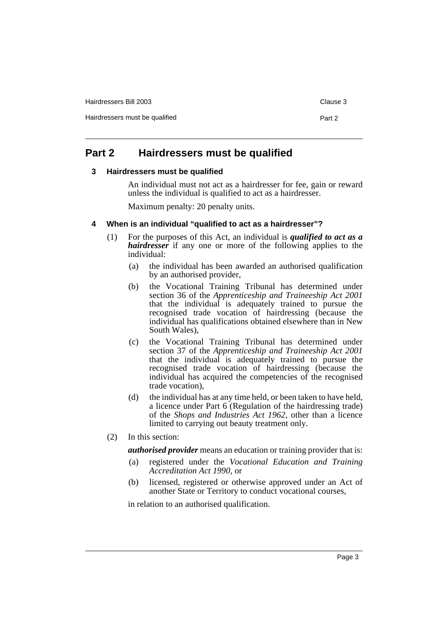Hairdressers Bill 2003 Clause 3 Hairdressers must be qualified Part 2

## **Part 2 Hairdressers must be qualified**

#### **3 Hairdressers must be qualified**

An individual must not act as a hairdresser for fee, gain or reward unless the individual is qualified to act as a hairdresser.

Maximum penalty: 20 penalty units.

#### **4 When is an individual "qualified to act as a hairdresser"?**

- (1) For the purposes of this Act, an individual is *qualified to act as a hairdresser* if any one or more of the following applies to the individual:
	- (a) the individual has been awarded an authorised qualification by an authorised provider,
	- (b) the Vocational Training Tribunal has determined under section 36 of the *Apprenticeship and Traineeship Act 2001* that the individual is adequately trained to pursue the recognised trade vocation of hairdressing (because the individual has qualifications obtained elsewhere than in New South Wales),
	- (c) the Vocational Training Tribunal has determined under section 37 of the *Apprenticeship and Traineeship Act 2001* that the individual is adequately trained to pursue the recognised trade vocation of hairdressing (because the individual has acquired the competencies of the recognised trade vocation),
	- (d) the individual has at any time held, or been taken to have held, a licence under Part 6 (Regulation of the hairdressing trade) of the *Shops and Industries Act 1962*, other than a licence limited to carrying out beauty treatment only.
- (2) In this section:

*authorised provider* means an education or training provider that is:

- (a) registered under the *Vocational Education and Training Accreditation Act 1990*, or
- (b) licensed, registered or otherwise approved under an Act of another State or Territory to conduct vocational courses,

in relation to an authorised qualification.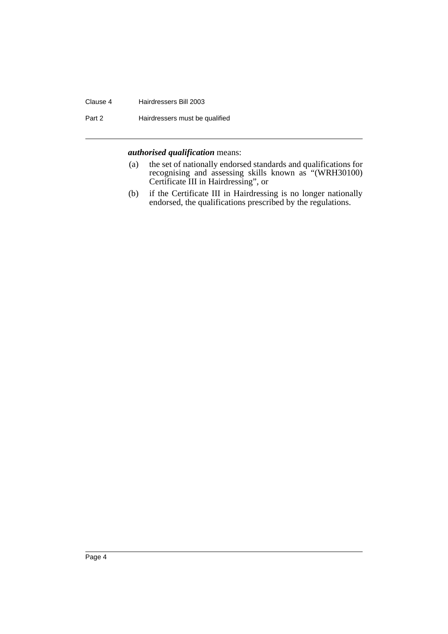#### Clause 4 Hairdressers Bill 2003

Part 2 **Hairdressers must be qualified** 

#### *authorised qualification* means:

- (a) the set of nationally endorsed standards and qualifications for recognising and assessing skills known as "(WRH30100) Certificate III in Hairdressing", or
- (b) if the Certificate III in Hairdressing is no longer nationally endorsed, the qualifications prescribed by the regulations.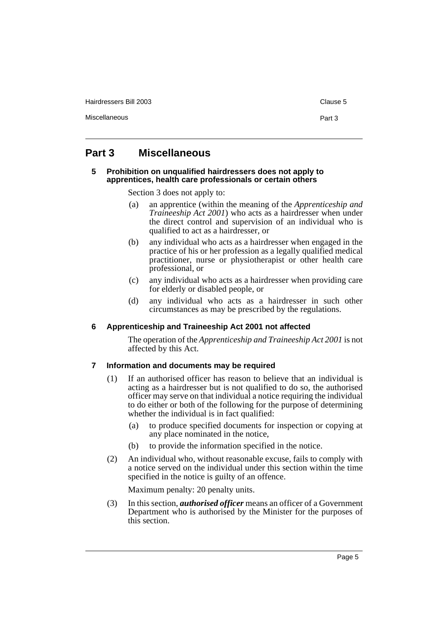Hairdressers Bill 2003 Clause 5

Miscellaneous **Part 3** 

## **Part 3 Miscellaneous**

#### **5 Prohibition on unqualified hairdressers does not apply to apprentices, health care professionals or certain others**

Section 3 does not apply to:

- (a) an apprentice (within the meaning of the *Apprenticeship and Traineeship Act 2001*) who acts as a hairdresser when under the direct control and supervision of an individual who is qualified to act as a hairdresser, or
- (b) any individual who acts as a hairdresser when engaged in the practice of his or her profession as a legally qualified medical practitioner, nurse or physiotherapist or other health care professional, or
- (c) any individual who acts as a hairdresser when providing care for elderly or disabled people, or
- (d) any individual who acts as a hairdresser in such other circumstances as may be prescribed by the regulations.

#### **6 Apprenticeship and Traineeship Act 2001 not affected**

The operation of the *Apprenticeship and Traineeship Act 2001* is not affected by this Act.

#### **7 Information and documents may be required**

- (1) If an authorised officer has reason to believe that an individual is acting as a hairdresser but is not qualified to do so, the authorised officer may serve on that individual a notice requiring the individual to do either or both of the following for the purpose of determining whether the individual is in fact qualified:
	- (a) to produce specified documents for inspection or copying at any place nominated in the notice,
	- (b) to provide the information specified in the notice.
- (2) An individual who, without reasonable excuse, fails to comply with a notice served on the individual under this section within the time specified in the notice is guilty of an offence.

Maximum penalty: 20 penalty units.

(3) In this section, *authorised officer* means an officer of a Government Department who is authorised by the Minister for the purposes of this section.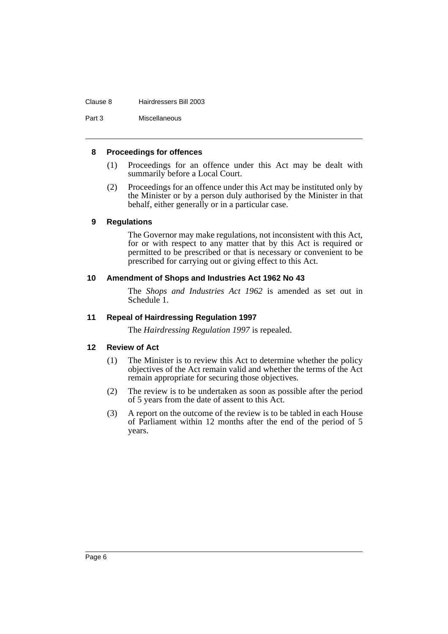#### Clause 8 Hairdressers Bill 2003

Part 3 Miscellaneous

#### **8 Proceedings for offences**

- (1) Proceedings for an offence under this Act may be dealt with summarily before a Local Court.
- (2) Proceedings for an offence under this Act may be instituted only by the Minister or by a person duly authorised by the Minister in that behalf, either generally or in a particular case.

#### **9 Regulations**

The Governor may make regulations, not inconsistent with this Act, for or with respect to any matter that by this Act is required or permitted to be prescribed or that is necessary or convenient to be prescribed for carrying out or giving effect to this Act.

#### **10 Amendment of Shops and Industries Act 1962 No 43**

The *Shops and Industries Act 1962* is amended as set out in Schedule 1.

#### **11 Repeal of Hairdressing Regulation 1997**

The *Hairdressing Regulation 1997* is repealed.

#### **12 Review of Act**

- (1) The Minister is to review this Act to determine whether the policy objectives of the Act remain valid and whether the terms of the Act remain appropriate for securing those objectives.
- (2) The review is to be undertaken as soon as possible after the period of 5 years from the date of assent to this Act.
- (3) A report on the outcome of the review is to be tabled in each House of Parliament within 12 months after the end of the period of 5 years.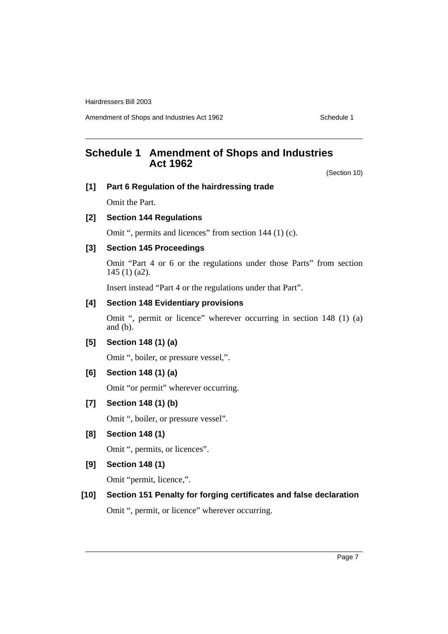Hairdressers Bill 2003

Amendment of Shops and Industries Act 1962 Schedule 1

## **Schedule 1 Amendment of Shops and Industries Act 1962**

(Section 10)

# **[1] Part 6 Regulation of the hairdressing trade**

Omit the Part.

### **[2] Section 144 Regulations**

Omit ", permits and licences" from section 144 (1) (c).

#### **[3] Section 145 Proceedings**

Omit "Part 4 or 6 or the regulations under those Parts" from section 145 (1) (a2).

Insert instead "Part 4 or the regulations under that Part".

#### **[4] Section 148 Evidentiary provisions**

Omit ", permit or licence" wherever occurring in section 148 (1) (a) and (b).

#### **[5] Section 148 (1) (a)**

Omit ", boiler, or pressure vessel,".

#### **[6] Section 148 (1) (a)**

Omit "or permit" wherever occurring.

#### **[7] Section 148 (1) (b)**

Omit ", boiler, or pressure vessel".

#### **[8] Section 148 (1)**

Omit ", permits, or licences".

#### **[9] Section 148 (1)**

Omit "permit, licence,".

## **[10] Section 151 Penalty for forging certificates and false declaration**

Omit ", permit, or licence" wherever occurring.